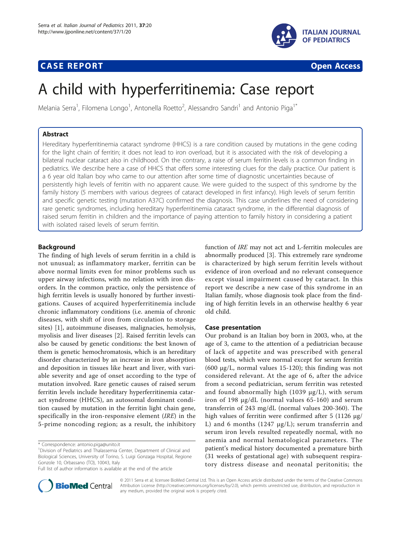## **CASE REPORT CASE REPORT CASE REPORT**



# A child with hyperferritinemia: Case report

Melania Serra<sup>1</sup>, Filomena Longo<sup>1</sup>, Antonella Roetto<sup>2</sup>, Alessandro Sandri<sup>1</sup> and Antonio Piga<sup>1\*</sup>

## Abstract

Hereditary hyperferritinemia cataract syndrome (HHCS) is a rare condition caused by mutations in the gene coding for the light chain of ferritin; it does not lead to iron overload, but it is associated with the risk of developing a bilateral nuclear cataract also in childhood. On the contrary, a raise of serum ferritin levels is a common finding in pediatrics. We describe here a case of HHCS that offers some interesting clues for the daily practice. Our patient is a 6 year old Italian boy who came to our attention after some time of diagnostic uncertainties because of persistently high levels of ferritin with no apparent cause. We were guided to the suspect of this syndrome by the family history (5 members with various degrees of cataract developed in first infancy). High levels of serum ferritin and specific genetic testing (mutation A37C) confirmed the diagnosis. This case underlines the need of considering rare genetic syndromes, including hereditary hyperferritinemia cataract syndrome, in the differential diagnosis of raised serum ferritin in children and the importance of paying attention to family history in considering a patient with isolated raised levels of serum ferritin.

## Background

The finding of high levels of serum ferritin in a child is not unusual; as inflammatory marker, ferritin can be above normal limits even for minor problems such us upper airway infections, with no relation with iron disorders. In the common practice, only the persistence of high ferritin levels is usually honored by further investigations. Causes of acquired hyperferritinemia include chronic inflammatory conditions (i.e. anemia of chronic diseases, with shift of iron from circulation to storage sites) [[1\]](#page-2-0), autoimmune diseases, malignacies, hemolysis, myolisis and liver diseases [[2\]](#page-2-0). Raised ferritin levels can also be caused by genetic conditions: the best known of them is genetic hemochromatosis, which is an hereditary disorder characterized by an increase in iron absorption and deposition in tissues like heart and liver, with variable severity and age of onset according to the type of mutation involved. Rare genetic causes of raised serum ferritin levels include hereditary hyperferritinemia cataract syndrome (HHCS), an autosomal dominant condition caused by mutation in the ferritin light chain gene, specifically in the iron-responsive element (IRE) in the 5-prime noncoding region; as a result, the inhibitory

\* Correspondence: [antonio.piga@unito.it](mailto:antonio.piga@unito.it)

function of IRE may not act and L-ferritin molecules are abnormally produced [[3\]](#page-2-0). This extremely rare syndrome is characterized by high serum ferritin levels without evidence of iron overload and no relevant consequence except visual impairment caused by cataract. In this report we describe a new case of this syndrome in an Italian family, whose diagnosis took place from the finding of high ferritin levels in an otherwise healthy 6 year old child.

#### Case presentation

Our proband is an Italian boy born in 2003, who, at the age of 3, came to the attention of a pediatrician because of lack of appetite and was prescribed with general blood tests, which were normal except for serum ferritin (600 μg/L, normal values 15-120); this finding was not considered relevant. At the age of 6, after the advice from a second pediatrician, serum ferritin was retested and found abnormally high (1039  $\mu$ g/L), with serum iron of 198 μg/dL (normal values 65-160) and serum transferrin of 243 mg/dL (normal values 200-360). The high values of ferritin were confirmed after 5 (1126 μg/ L) and 6 months (1247 μg/L); serum transferrin and serum iron levels resulted repeatedly normal, with no anemia and normal hematological parameters. The patient's medical history documented a premature birth (31 weeks of gestational age) with subsequent respiratory distress disease and neonatal peritonitis; the



© 2011 Serra et al; licensee BioMed Central Ltd. This is an Open Access article distributed under the terms of the Creative Commons Attribution License [\(http://creativecommons.org/licenses/by/2.0](http://creativecommons.org/licenses/by/2.0)), which permits unrestricted use, distribution, and reproduction in any medium, provided the original work is properly cited.

<sup>&</sup>lt;sup>1</sup> Division of Pediatrics and Thalassemia Center, Department of Clinical and Biological Sciences, University of Torino, S. Luigi Gonzaga Hospital, Regione Gonzole 10, Orbassano (TO), 10043, Italy

Full list of author information is available at the end of the article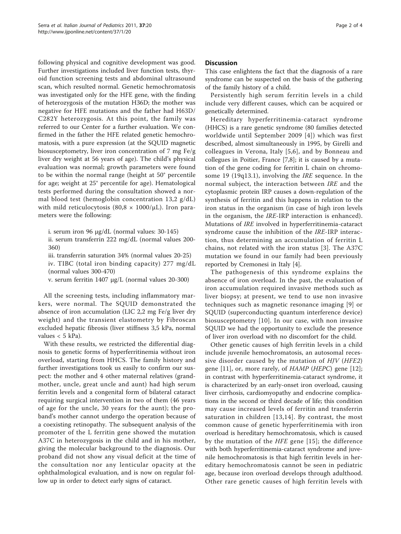following physical and cognitive development was good. Further investigations included liver function tests, thyroid function screening tests and abdominal ultrasound scan, which resulted normal. Genetic hemochromatosis was investigated only for the HFE gene, with the finding of heterozygosis of the mutation H36D; the mother was negative for HFE mutations and the father had H63D/ C282Y heterozygosis. At this point, the family was referred to our Center for a further evaluation. We confirmed in the father the HFE related genetic hemochromatosis, with a pure expression (at the SQUID magnetic biosusceptometry, liver iron concentration of 7 mg Fe/g liver dry weight at 56 years of age). The child's physical evaluation was normal; growth parameters were found to be within the normal range (height at 50° percentile for age; weight at 25° percentile for age). Hematological tests performed during the consultation showed a normal blood test (hemoglobin concentration 13,2 g/dL) with mild reticulocytosis (80,8  $\times$  1000/ $\mu$ L). Iron parameters were the following:

i. serum iron 96 μg/dL (normal values: 30-145)

ii. serum transferrin 222 mg/dL (normal values 200- 360)

iii. transferrin saturation 34% (normal values 20-25) iv. TIBC (total iron binding capacity) 277 mg/dL (normal values 300-470)

v. serum ferritin 1407 μg/L (normal values 20-300)

All the screening tests, including inflammatory markers, were normal. The SQUID demonstrated the absence of iron accumulation (LIC 2,2 mg Fe/g liver dry weight) and the transient elastometry by Fibroscan excluded hepatic fibrosis (liver stiffness 3,5 kPa, normal values  $<$  5 kPa).

With these results, we restricted the differential diagnosis to genetic forms of hyperferritinemia without iron overload, starting from HHCS. The family history and further investigations took us easily to confirm our suspect: the mother and 4 other maternal relatives (grandmother, uncle, great uncle and aunt) had high serum ferritin levels and a congenital form of bilateral cataract requiring surgical intervention in two of them (46 years of age for the uncle, 30 years for the aunt); the proband's mother cannot undergo the operation because of a coexisting retinopathy. The subsequent analysis of the promoter of the L ferritin gene showed the mutation A37C in heterozygosis in the child and in his mother, giving the molecular background to the diagnosis. Our proband did not show any visual deficit at the time of the consultation nor any lenticular opacity at the ophthalmological evaluation, and is now on regular follow up in order to detect early signs of cataract.

### **Discussion**

This case enlightens the fact that the diagnosis of a rare syndrome can be suspected on the basis of the gathering of the family history of a child.

Persistently high serum ferritin levels in a child include very different causes, which can be acquired or genetically determined.

Hereditary hyperferritinemia-cataract syndrome (HHCS) is a rare genetic syndrome (80 families detected worldwide until September 2009 [[4](#page-2-0)]) which was first described, almost simultaneously in 1995, by Girelli and colleagues in Verona, Italy [\[5](#page-2-0),[6\]](#page-2-0), and by Bonneau and collegues in Poitier, France [\[7,8](#page-2-0)]; it is caused by a mutation of the gene coding for ferritin L chain on chromosome 19 (19q13.1), involving the IRE sequence. In the normal subject, the interaction between IRE and the cytoplasmic protein IRP causes a down-regulation of the synthesis of ferritin and this happens in relation to the iron status in the organism (in case of high iron levels in the organism, the IRE-IRP interaction is enhanced). Mutations of IRE involved in hyperferritinemia-cataract syndrome cause the inhibition of the IRE-IRP interaction, thus determining an accumulation of ferritin L chains, not related with the iron status [[3](#page-2-0)]. The A37C mutation we found in our family had been previously reported by Cremonesi in Italy [[4\]](#page-2-0).

The pathogenesis of this syndrome explains the absence of iron overload. In the past, the evaluation of iron accumulation required invasive methods such as liver biopsy; at present, we tend to use non invasive techniques such as magnetic resonance imaging [[9\]](#page-2-0) or SQUID (superconducting quantum interference device) biosusceptometry [\[10\]](#page-2-0). In our case, with non invasive SQUID we had the opportunity to exclude the presence of liver iron overload with no discomfort for the child.

Other genetic causes of high ferritin levels in a child include juvenile hemochromatosis, an autosomal recessive disorder caused by the mutation of  $HJV$  ( $HFE2$ ) gene [[11\]](#page-2-0), or, more rarely, of  $HAMP$  (HEPC) gene [\[12](#page-2-0)]; in contrast with hyperferritinemia-cataract syndrome, it is characterized by an early-onset iron overload, causing liver cirrhosis, cardiomyopathy and endocrine complications in the second or third decade of life; this condition may cause increased levels of ferritin and transferrin saturation in children [[13,14\]](#page-2-0). By contrast, the most common cause of genetic hyperferritinemia with iron overload is hereditary hemochromatosis, which is caused by the mutation of the HFE gene [\[15\]](#page-2-0); the difference with both hyperferritinemia-cataract syndrome and juvenile hemochromatosis is that high ferritin levels in hereditary hemochromatosis cannot be seen in pediatric age, because iron overload develops through adulthood. Other rare genetic causes of high ferritin levels with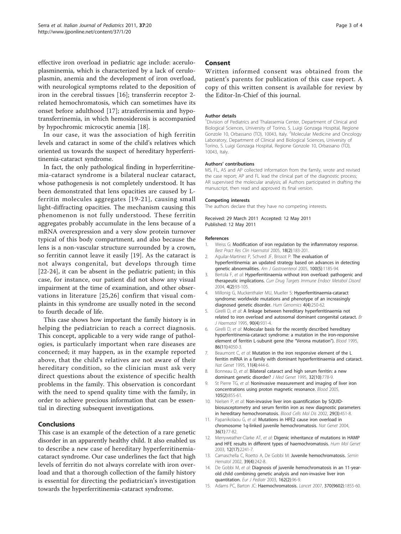<span id="page-2-0"></span>effective iron overload in pediatric age include: aceruloplasminemia, which is characterized by a lack of ceruloplasmin, anemia and the development of iron overload, with neurological symptoms related to the deposition of iron in the cerebral tissues [[16\]](#page-3-0); transferrin receptor 2 related hemochromatosis, which can sometimes have its onset before adulthood [[17\]](#page-3-0); atrasferrinemia and hypotransferrinemia, in which hemosiderosis is accompanied by hypochromic microcytic anemia [\[18](#page-3-0)].

In our case, it was the association of high ferritin levels and cataract in some of the child's relatives which oriented us towards the suspect of hereditary hyperferritinemia-cataract syndrome.

In fact, the only pathological finding in hyperferritinemia-cataract syndrome is a bilateral nuclear cataract, whose pathogenesis is not completely understood. It has been demonstrated that lens opacities are caused by Lferritin molecules aggregates [[19](#page-3-0)-[21](#page-3-0)], causing small light-diffracting opacities. The mechanism causing this phenomenon is not fully understood. These ferritin aggregates probably accumulate in the lens because of a mRNA overexpression and a very slow protein turnover typical of this body compartment, and also because the lens is a non-vascular structure surrounded by a crown, so ferritin cannot leave it easily [\[19\]](#page-3-0). As the cataract is not always congenital, but develops through time [[22-24](#page-3-0)], it can be absent in the pediatric patient; in this case, for instance, our patient did not show any visual impairment at the time of examination, and other observations in literature [[25](#page-3-0),[26](#page-3-0)] confirm that visual complaints in this syndrome are usually noted in the second to fourth decade of life.

This case shows how important the family history is in helping the pediatrician to reach a correct diagnosis. This concept, applicable to a very wide range of pathologies, is particularly important when rare diseases are concerned; it may happen, as in the example reported above, that the child's relatives are not aware of their hereditary condition, so the clinician must ask very direct questions about the existence of specific health problems in the family. This observation is concordant with the need to spend quality time with the family, in order to achieve precious information that can be essential in directing subsequent investigations.

## Conclusions

This case is an example of the detection of a rare genetic disorder in an apparently healthy child. It also enabled us to describe a new case of hereditary hyperferritinemiacataract syndrome. Our case underlines the fact that high levels of ferritin do not always correlate with iron overload and that a thorough collection of the family history is essential for directing the pediatrician's investigation towards the hyperferritinemia-cataract syndrome.

## Consent

Written informed consent was obtained from the patient's parents for publication of this case report. A copy of this written consent is available for review by the Editor-In-Chief of this journal.

#### Author details

<sup>1</sup> Division of Pediatrics and Thalassemia Center, Department of Clinical and Biological Sciences, University of Torino, S. Luigi Gonzaga Hospital, Regione Gonzole 10, Orbassano (TO), 10043, Italy. <sup>2</sup>Molecular Medicine and Oncology Laboratory, Department of Clinical and Biological Sciences, University of Torino, S. Luigi Gonzaga Hospital, Regione Gonzole 10, Orbassano (TO), 10043, Italy.

#### Authors' contributions

MS, FL, AS and AP collected information from the family, wrote and revised the case report; AP and FL lead the clinical part of the diagnostic process; AR supervised the molecular analysis; all Authors participated in drafting the manuscript, then read and approved its final version.

#### Competing interests

The authors declare that they have no competing interests.

Received: 29 March 2011 Accepted: 12 May 2011 Published: 12 May 2011

#### References

- 1. Weiss G: [Modification of iron regulation by the inflammatory response.](http://www.ncbi.nlm.nih.gov/pubmed/15737884?dopt=Abstract) Best Pract Res Clin Haematol 2005, 18(2):183-201.
- 2. Aguilar-Martinez P, Schved JF, Brissot P: [The evaluation of](http://www.ncbi.nlm.nih.gov/pubmed/15842597?dopt=Abstract) [hyperferritinemia: an updated strategy based on advances in detecting](http://www.ncbi.nlm.nih.gov/pubmed/15842597?dopt=Abstract) [genetic abnormalities.](http://www.ncbi.nlm.nih.gov/pubmed/15842597?dopt=Abstract) Am J Gastroenterol 2005, 100(5):1185-94.
- 3. Bertola F, et al: [Hyperferritinaemia without iron overload: pathogenic and](http://www.ncbi.nlm.nih.gov/pubmed/15180450?dopt=Abstract) [therapeutic implications.](http://www.ncbi.nlm.nih.gov/pubmed/15180450?dopt=Abstract) Curr Drug Targets Immune Endocr Metabol Disord 2004, 4(2):93-105.
- 4. Millonig G, Muckenthaler MU, Mueller S: Hyperferritinaemia-cataract syndrome: worldwide mutations and phenotype of an increasingly diagnosed genetic disorder. Hum Genomics 4(4):250-62.
- 5. Girelli D, et al: [A linkage between hereditary hyperferritinaemia not](http://www.ncbi.nlm.nih.gov/pubmed/7669675?dopt=Abstract) [related to iron overload and autosomal dominant congenital cataract.](http://www.ncbi.nlm.nih.gov/pubmed/7669675?dopt=Abstract) Br J Haematol 1995, 90(4):931-4.
- 6. Girelli D, et al: [Molecular basis for the recently described hereditary](http://www.ncbi.nlm.nih.gov/pubmed/7492760?dopt=Abstract) [hyperferritinemia-cataract syndrome: a mutation in the iron-responsive](http://www.ncbi.nlm.nih.gov/pubmed/7492760?dopt=Abstract) [element of ferritin L-subunit gene \(the](http://www.ncbi.nlm.nih.gov/pubmed/7492760?dopt=Abstract) "Verona mutation"). Blood 1995, 86(11):4050-3.
- 7. Beaumont C, et al: [Mutation in the iron responsive element of the L](http://www.ncbi.nlm.nih.gov/pubmed/7493028?dopt=Abstract) [ferritin mRNA in a family with dominant hyperferritinaemia and cataract.](http://www.ncbi.nlm.nih.gov/pubmed/7493028?dopt=Abstract) Nat Genet 1995, 11(4):444-6.
- 8. Bonneau D, et al: [Bilateral cataract and high serum ferritin: a new](http://www.ncbi.nlm.nih.gov/pubmed/8558554?dopt=Abstract) [dominant genetic disorder?](http://www.ncbi.nlm.nih.gov/pubmed/8558554?dopt=Abstract) J Med Genet 1995, 32(10):778-9.
- 9. St Pierre TG, et al: [Noninvasive measurement and imaging of liver iron](http://www.ncbi.nlm.nih.gov/pubmed/15256427?dopt=Abstract) [concentrations using proton magnetic resonance.](http://www.ncbi.nlm.nih.gov/pubmed/15256427?dopt=Abstract) Blood 2005, 105(2):855-61.
- 10. Nielsen P, et al: [Non-invasive liver iron quantification by SQUID](http://www.ncbi.nlm.nih.gov/pubmed/12547235?dopt=Abstract)[biosusceptometry and serum ferritin iron as new diagnostic parameters](http://www.ncbi.nlm.nih.gov/pubmed/12547235?dopt=Abstract) [in hereditary hemochromatosis.](http://www.ncbi.nlm.nih.gov/pubmed/12547235?dopt=Abstract) Blood Cells Mol Dis 2002, 29(3):451-8.
- 11. Papanikolaou G, et al: [Mutations in HFE2 cause iron overload in](http://www.ncbi.nlm.nih.gov/pubmed/14647275?dopt=Abstract) [chromosome 1q-linked juvenile hemochromatosis.](http://www.ncbi.nlm.nih.gov/pubmed/14647275?dopt=Abstract) Nat Genet 2004, 36(1):77-82.
- 12. Merryweather-Clarke AT, et al: [Digenic inheritance of mutations in HAMP](http://www.ncbi.nlm.nih.gov/pubmed/12915468?dopt=Abstract) [and HFE results in different types of haemochromatosis.](http://www.ncbi.nlm.nih.gov/pubmed/12915468?dopt=Abstract) Hum Mol Genet 2003, 12(17):2241-7.
- 13. Camaschella C, Roetto A, De Gobbi M: [Juvenile hemochromatosis.](http://www.ncbi.nlm.nih.gov/pubmed/12382199?dopt=Abstract) Semin Hematol 2002, 39(4):242-8.
- 14. De Gobbi M, et al: [Diagnosis of juvenile hemochromatosis in an 11-year](http://www.ncbi.nlm.nih.gov/pubmed/12548385?dopt=Abstract)[old child combining genetic analysis and non-invasive liver iron](http://www.ncbi.nlm.nih.gov/pubmed/12548385?dopt=Abstract) [quantitation.](http://www.ncbi.nlm.nih.gov/pubmed/12548385?dopt=Abstract) Eur J Pediatr 2003, 162(2):96-9.
- 15. Adams PC, Barton JC: [Haemochromatosis.](http://www.ncbi.nlm.nih.gov/pubmed/18061062?dopt=Abstract) Lancet 2007, 370(9602):1855-60.